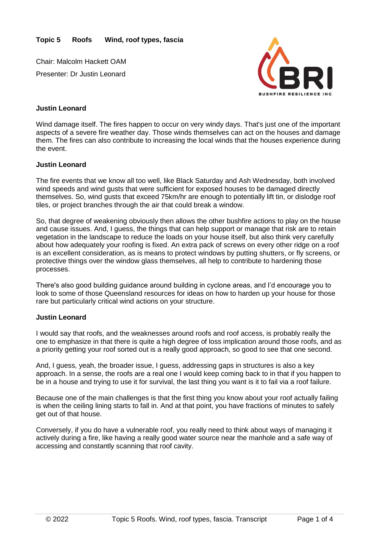Chair: Malcolm Hackett OAM Presenter: Dr Justin Leonard



## **Justin Leonard**

Wind damage itself. The fires happen to occur on very windy days. That's just one of the important aspects of a severe fire weather day. Those winds themselves can act on the houses and damage them. The fires can also contribute to increasing the local winds that the houses experience during the event.

### **Justin Leonard**

The fire events that we know all too well, like Black Saturday and Ash Wednesday, both involved wind speeds and wind gusts that were sufficient for exposed houses to be damaged directly themselves. So, wind gusts that exceed 75km/hr are enough to potentially lift tin, or dislodge roof tiles, or project branches through the air that could break a window.

So, that degree of weakening obviously then allows the other bushfire actions to play on the house and cause issues. And, I guess, the things that can help support or manage that risk are to retain vegetation in the landscape to reduce the loads on your house itself, but also think very carefully about how adequately your roofing is fixed. An extra pack of screws on every other ridge on a roof is an excellent consideration, as is means to protect windows by putting shutters, or fly screens, or protective things over the window glass themselves, all help to contribute to hardening those processes.

There's also good building guidance around building in cyclone areas, and I'd encourage you to look to some of those Queensland resources for ideas on how to harden up your house for those rare but particularly critical wind actions on your structure.

## **Justin Leonard**

I would say that roofs, and the weaknesses around roofs and roof access, is probably really the one to emphasize in that there is quite a high degree of loss implication around those roofs, and as a priority getting your roof sorted out is a really good approach, so good to see that one second.

And, I guess, yeah, the broader issue, I guess, addressing gaps in structures is also a key approach. In a sense, the roofs are a real one I would keep coming back to in that if you happen to be in a house and trying to use it for survival, the last thing you want is it to fail via a roof failure.

Because one of the main challenges is that the first thing you know about your roof actually failing is when the ceiling lining starts to fall in. And at that point, you have fractions of minutes to safely get out of that house.

Conversely, if you do have a vulnerable roof, you really need to think about ways of managing it actively during a fire, like having a really good water source near the manhole and a safe way of accessing and constantly scanning that roof cavity.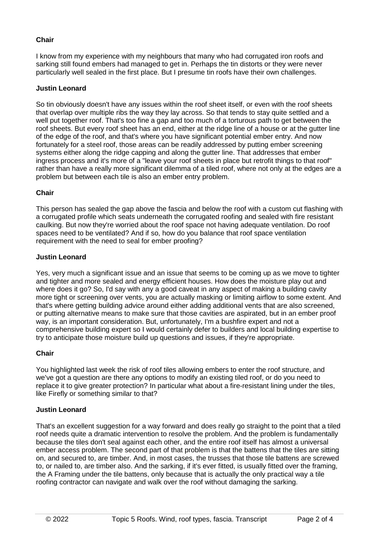# **Chair**

I know from my experience with my neighbours that many who had corrugated iron roofs and sarking still found embers had managed to get in. Perhaps the tin distorts or they were never particularly well sealed in the first place. But I presume tin roofs have their own challenges.

## **Justin Leonard**

So tin obviously doesn't have any issues within the roof sheet itself, or even with the roof sheets that overlap over multiple ribs the way they lay across. So that tends to stay quite settled and a well put together roof. That's too fine a gap and too much of a torturous path to get between the roof sheets. But every roof sheet has an end, either at the ridge line of a house or at the gutter line of the edge of the roof, and that's where you have significant potential ember entry. And now fortunately for a steel roof, those areas can be readily addressed by putting ember screening systems either along the ridge capping and along the gutter line. That addresses that ember ingress process and it's more of a "leave your roof sheets in place but retrofit things to that roof" rather than have a really more significant dilemma of a tiled roof, where not only at the edges are a problem but between each tile is also an ember entry problem.

### **Chair**

This person has sealed the gap above the fascia and below the roof with a custom cut flashing with a corrugated profile which seats underneath the corrugated roofing and sealed with fire resistant caulking. But now they're worried about the roof space not having adequate ventilation. Do roof spaces need to be ventilated? And if so, how do you balance that roof space ventilation requirement with the need to seal for ember proofing?

### **Justin Leonard**

Yes, very much a significant issue and an issue that seems to be coming up as we move to tighter and tighter and more sealed and energy efficient houses. How does the moisture play out and where does it go? So, I'd say with any a good caveat in any aspect of making a building cavity more tight or screening over vents, you are actually masking or limiting airflow to some extent. And that's where getting building advice around either adding additional vents that are also screened, or putting alternative means to make sure that those cavities are aspirated, but in an ember proof way, is an important consideration. But, unfortunately, I'm a bushfire expert and not a comprehensive building expert so I would certainly defer to builders and local building expertise to try to anticipate those moisture build up questions and issues, if they're appropriate.

#### **Chair**

You highlighted last week the risk of roof tiles allowing embers to enter the roof structure, and we've got a question are there any options to modify an existing tiled roof, or do you need to replace it to give greater protection? In particular what about a fire-resistant lining under the tiles, like Firefly or something similar to that?

#### **Justin Leonard**

That's an excellent suggestion for a way forward and does really go straight to the point that a tiled roof needs quite a dramatic intervention to resolve the problem. And the problem is fundamentally because the tiles don't seal against each other, and the entire roof itself has almost a universal ember access problem. The second part of that problem is that the battens that the tiles are sitting on, and secured to, are timber. And, in most cases, the trusses that those tile battens are screwed to, or nailed to, are timber also. And the sarking, if it's ever fitted, is usually fitted over the framing, the A Framing under the tile battens, only because that is actually the only practical way a tile roofing contractor can navigate and walk over the roof without damaging the sarking.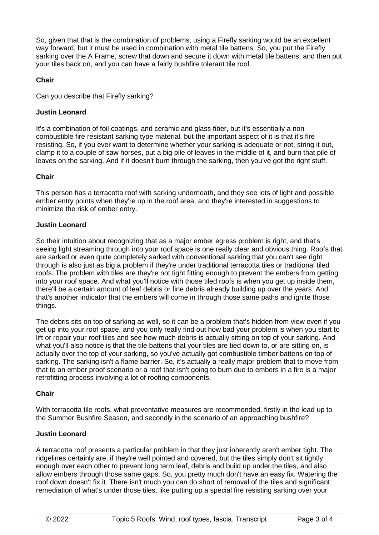So, given that that is the combination of problems, using a Firefly sarking would be an excellent way forward, but it must be used in combination with metal tile battens. So, you put the Firefly sarking over the A Frame, screw that down and secure it down with metal tile battens, and then put your tiles back on, and you can have a fairly bushfire tolerant tile roof.

# **Chair**

Can you describe that Firefly sarking?

# **Justin Leonard**

It's a combination of foil coatings, and ceramic and glass fiber, but it's essentially a non combustible fire resistant sarking type material, but the important aspect of it is that it's fire resisting. So, if you ever want to determine whether your sarking is adequate or not, string it out, clamp it to a couple of saw horses, put a big pile of leaves in the middle of it, and burn that pile of leaves on the sarking. And if it doesn't burn through the sarking, then you've got the right stuff.

## **Chair**

This person has a terracotta roof with sarking underneath, and they see lots of light and possible ember entry points when they're up in the roof area, and they're interested in suggestions to minimize the risk of ember entry.

# **Justin Leonard**

So their intuition about recognizing that as a major ember egress problem is right, and that's seeing light streaming through into your roof space is one really clear and obvious thing. Roofs that are sarked or even quite completely sarked with conventional sarking that you can't see right through is also just as big a problem if they're under traditional terracotta tiles or traditional tiled roofs. The problem with tiles are they're not tight fitting enough to prevent the embers from getting into your roof space. And what you'll notice with those tiled roofs is when you get up inside them, there'll be a certain amount of leaf debris or fine debris already building up over the years. And that's another indicator that the embers will come in through those same paths and ignite those things.

The debris sits on top of sarking as well, so it can be a problem that's hidden from view even if you get up into your roof space, and you only really find out how bad your problem is when you start to lift or repair your roof tiles and see how much debris is actually sitting on top of your sarking. And what you'll also notice is that the tile battens that your tiles are tied down to, or are sitting on, is actually over the top of your sarking, so you've actually got combustible timber battens on top of sarking. The sarking isn't a flame barrier. So, it's actually a really major problem that to move from that to an ember proof scenario or a roof that isn't going to burn due to embers in a fire is a major retrofitting process involving a lot of roofing components.

## **Chair**

With terracotta tile roofs, what preventative measures are recommended, firstly in the lead up to the Summer Bushfire Season, and secondly in the scenario of an approaching bushfire?

# **Justin Leonard**

A terracotta roof presents a particular problem in that they just inherently aren't ember tight. The ridgelines certainly are, if they're well pointed and covered, but the tiles simply don't sit tightly enough over each other to prevent long term leaf, debris and build up under the tiles, and also allow embers through those same gaps. So, you pretty much don't have an easy fix. Watering the roof down doesn't fix it. There isn't much you can do short of removal of the tiles and significant remediation of what's under those tiles, like putting up a special fire resisting sarking over your